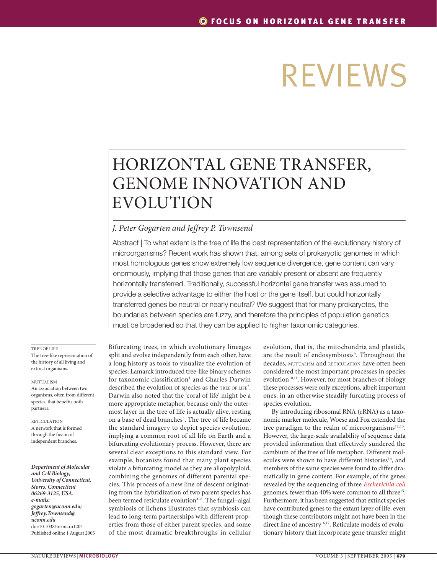# REVIEWS

# HORIZONTAL GENE TRANSFER, GENOME INNOVATION AND EVOLUTION

# *J. Peter Gogarten and Jeffrey P. Townsend*

Abstract | To what extent is the tree of life the best representation of the evolutionary history of microorganisms? Recent work has shown that, among sets of prokaryotic genomes in which most homologous genes show extremely low sequence divergence, gene content can vary enormously, implying that those genes that are variably present or absent are frequently horizontally transferred. Traditionally, successful horizontal gene transfer was assumed to provide a selective advantage to either the host or the gene itself, but could horizontally transferred genes be neutral or nearly neutral? We suggest that for many prokaryotes, the boundaries between species are fuzzy, and therefore the principles of population genetics must be broadened so that they can be applied to higher taxonomic categories.

TREE OF LIFE The tree-like representation of the history of all living and extinct organisms.

MUTUALISM An association between two organisms, often from different species, that benefits both partners.

RETICULATION A network that is formed through the fusion of independent branches.

*Department of Molecular and Cell Biology, University of Connecticut, Storrs, Connecticut 06269-3125, USA. e-mails: gogarten@uconn.edu; Jeffrey.Townsend@ uconn.edu* doi:10.1038/nrmicro1204 Published online 1 August 2005

Bifurcating trees, in which evolutionary lineages split and evolve independently from each other, have a long history as tools to visualize the evolution of species: Lamarck introduced tree-like binary schemes for taxonomic classification<sup>1</sup> and Charles Darwin described the evolution of species as the TREE OF LIFE<sup>2</sup>. Darwin also noted that the 'coral of life' might be a more appropriate metaphor, because only the outermost layer in the tree of life is actually alive, resting on a base of dead branches<sup>3</sup>. The tree of life became the standard imagery to depict species evolution, implying a common root of all life on Earth and a bifurcating evolutionary process. However, there are several clear exceptions to this standard view. For example, botanists found that many plant species violate a bifurcating model as they are allopolyploid, combining the genomes of different parental species. This process of a new line of descent originating from the hybridization of two parent species has been termed reticulate evolution $4-8$ . The fungal-algal symbiosis of lichens illustrates that symbiosis can lead to long-term partnerships with different properties from those of either parent species, and some of the most dramatic breakthroughs in cellular

evolution, that is, the mitochondria and plastids, are the result of endosymbiosis<sup>9</sup>. Throughout the decades, MUTUALISM and RETICULATION have often been considered the most important processes in species evolution<sup>10,11</sup>. However, for most branches of biology these processes were only exceptions, albeit important ones, in an otherwise steadily furcating process of species evolution.

By introducing ribosomal RNA (rRNA) as a taxonomic marker molecule, Woese and Fox extended the tree paradigm to the realm of microorganisms<sup>12,13</sup>. However, the large-scale availability of sequence data provided information that effectively sundered the cambium of the tree of life metaphor. Different molecules were shown to have different histories<sup>14</sup>, and members of the same species were found to differ dramatically in gene content. For example, of the genes revealed by the sequencing of three *Escherichia coli* genomes, fewer than 40% were common to all three<sup>15</sup>. Furthermore, it has been suggested that extinct species have contributed genes to the extant layer of life, even though these contributors might not have been in the direct line of ancestry<sup>16,17</sup>. Reticulate models of evolutionary history that incorporate gene transfer might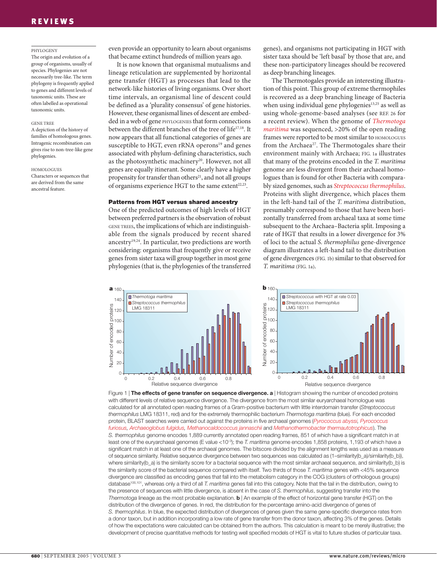### REVIEWS

#### PHYLOGENY

The origin and evolution of a group of organisms, usually of species. Phylogenies are not necessarily tree-like. The term phylogeny is frequently applied to genes and different levels of taxonomic units. These are often labelled as operational taxonomic units.

#### GENE TREE

A depiction of the history of families of homologous genes. Intragenic recombination can gives rise to non-tree-like gene phylogenies.

#### HOMOLOGUES

Characters or sequences that are derived from the same ancestral feature.

even provide an opportunity to learn about organisms that became extinct hundreds of million years ago.

It is now known that organismal mutualisms and lineage reticulation are supplemented by horizontal gene transfer (HGT) as processes that lead to the network-like histories of living organisms. Over short time intervals, an organismal line of descent could be defined as a 'plurality consensus' of gene histories. However, these organismal lines of descent are embedded in a web of gene PHYLOGENIES that form connections between the different branches of the tree of life<sup>17,18</sup>. It now appears that all functional categories of genes are susceptible to HGT, even rRNA operons<sup>19</sup> and genes associated with phylum-defining characteristics, such as the photosynthetic machinery<sup>20</sup>. However, not all genes are equally itinerant. Some clearly have a higher propensity for transfer than others<sup>21</sup>, and not all groups of organisms experience HGT to the same extent<sup>22,23</sup>.

#### **Patterns from HGT versus shared ancestry**

One of the predicted outcomes of high levels of HGT between preferred partners is the observation of robust GENE TREES, the implications of which are indistinguishable from the signals produced by recent shared ancestry19,24. In particular, two predictions are worth considering: organisms that frequently give or receive genes from sister taxa will group together in most gene phylogenies (that is, the phylogenies of the transferred genes), and organisms not participating in HGT with sister taxa should be 'left basal' by those that are, and these non-participatory lineages should be recovered as deep branching lineages.

The Thermotogales provide an interesting illustration of this point. This group of extreme thermophiles is recovered as a deep branching lineage of Bacteria when using individual gene phylogenies $13,25$  as well as using whole-genome-based analyses (see REF. 26 for a recent review). When the genome of *Thermotoga maritima* was sequenced, >20% of the open reading frames were reported to be most similar to HOMOLOGUES from the Archaea<sup>27</sup>. The Thermotogales share their environment mainly with Archaea; FIG. 1a illustrates that many of the proteins encoded in the *T. maritima* genome are less divergent from their archaeal homologues than is found for other Bacteria with comparably sized genomes, such as *Streptococcus thermophilus*. Proteins with slight divergence, which places them in the left-hand tail of the *T. maritima* distribution, presumably correspond to those that have been horizontally transferred from archaeal taxa at some time subsequent to the Archaea–Bacteria split. Imposing a rate of HGT that results in a lower divergence for 3% of loci to the actual *S. thermophilus* gene-divergence diagram illustrates a left-hand tail to the distribution of gene divergences (FIG. 1b) similar to that observed for *T. maritima* (FIG. 1a).



Figure 1 | The effects of gene transfer on sequence divergence. a | Histogram showing the number of encoded proteins with different levels of relative sequence divergence. The divergence from the most similar euryarchaeal homologue was calculated for all annotated open reading frames of a Gram-positive bacterium with little interdomain transfer (*Streptococcus thermophilus* LMG 18311, red) and for the extremely thermophilic bacterium *Thermotoga maritima* (blue). For each encoded protein, BLAST searches were carried out against the proteins in five archaeal genomes (*Pyrococcus abyssi, Pyrococcus furiosus, Archaeoglobus fulgidus, Methanocaldococcus jannaschii* and *Methanothermobacter thermautotrophicus*). The *S. thermophilus* genome encodes 1,889 currently annotated open reading frames, 851 of which have a significant match in at least one of the euryarchaeal genomes (E value <10–3); the *T. maritima* genome encodes 1,858 proteins, 1,193 of which have a significant match in at least one of the archaeal genomes. The bitscore divided by the alignment lengths was used as a measure of sequence similarity. Relative sequence divergence between two sequences was calculated as (1–similarity(b\_a)/similarity(b\_b)), where similarity(b\_a) is the similarity score for a bacterial sequence with the most similar archaeal sequence, and similarity(b\_b) is the similarity score of the bacterial sequence compared with itself. Two thirds of those *T. maritima* genes with <45% sequence divergence are classified as encoding genes that fall into the metabolism category in the COG (clusters of orthologous groups) database<sup>100,101</sup>, whereas only a third of all *T. maritima* genes fall into this category. Note that the tail in the distribution, owing to the presence of sequences with little divergence, is absent in the case of *S. thermophilus*, suggesting transfer into the *Thermotoga* lineage as the most probable explanation. **b** | An example of the effect of horizontal gene transfer (HGT) on the distribution of the divergence of genes. In red, the distribution for the percentage amino-acid divergence of genes of *S. thermophilus*. In blue, the expected distribution of divergences of genes given the same gene-specific divergence rates from a donor taxon, but in addition incorporating a low rate of gene transfer from the donor taxon, affecting 3% of the genes. Details of how the expectations were calculated can be obtained from the authors. This calculation is meant to be merely illustrative; the development of precise quantitative methods for testing well specified models of HGT is vital to future studies of particular taxa.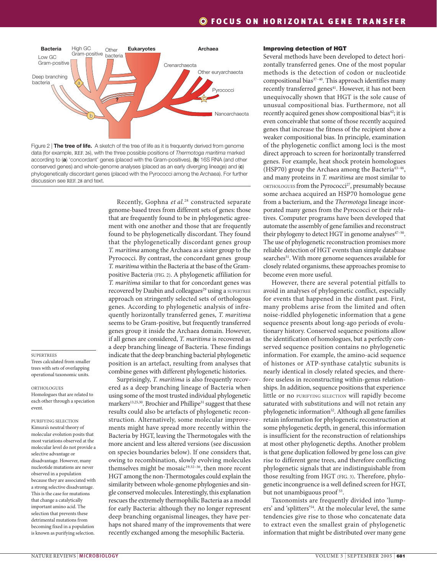

Figure 2 | **The tree of life.** A sketch of the tree of life as it is frequently derived from genome data (for example, REF. 26), with the three possible positions of *Thermotoga maritima* marked according to (**a**) 'concordant' genes (placed with the Gram-positives), (**b**) 16S RNA (and other conserved genes) and whole-genome analyses (placed as an early diverging lineage) and (**c**) phylogenetically discordant genes (placed with the Pyrococci among the Archaea). For further discussion see REF. 28 and text.

Recently, Gophna *et al.*28 constructed separate genome-based trees from different sets of genes: those that are frequently found to be in phylogenetic agreement with one another and those that are frequently found to be phylogenetically discordant. They found that the phylogenetically discordant genes group *T. maritima* among the Archaea as a sister group to the Pyrococci. By contrast, the concordant genes group *T. maritima* within the Bacteria at the base of the Grampositive Bacteria (FIG. 2). A phylogenetic affiliation for *T. maritima* similar to that for concordant genes was recovered by Daubin and colleagues<sup>29</sup> using a SUPERTREE approach on stringently selected sets of orthologous genes. According to phylogenetic analysis of infrequently horizontally transferred genes, *T. maritima* seems to be Gram-positive, but frequently transferred genes group it inside the Archaea domain. However, if all genes are considered, *T. maritima* is recovered as a deep branching lineage of Bacteria. These findings indicate that the deep branching bacterial phylogenetic position is an artefact, resulting from analyses that combine genes with different phylogenetic histories.

**SUPERTREES** 

Trees calculated from smaller trees with sets of overlapping operational taxonomic units.

ORTHOLOGUES Homologues that are related to each other through a speciation event.

PURIFYING SELECTION Kimura's neutral theory of molecular evolution posits that most variations observed at the molecular level do not provide a selective advantage or disadvantage. However, many nucleotide mutations are never observed in a population because they are associated with a strong selective disadvantage. This is the case for mutations that change a catalytically important amino acid. The selection that prevents these detrimental mutations from becoming fixed in a population is known as purifying selection.

Surprisingly, *T. maritima* is also frequently recovered as a deep branching lineage of Bacteria when using some of the most trusted individual phylogenetic markers<sup>13,25,30</sup>. Brochier and Phillipe<sup>31</sup> suggest that these results could also be artefacts of phylogenetic reconstruction. Alternatively, some molecular improvements might have spread more recently within the Bacteria by HGT, leaving the Thermotogales with the more ancient and less altered versions (see discussion on species boundaries below). If one considers that, owing to recombination, slowly evolving molecules themselves might be mosaic $19,32-36$ , then more recent HGT among the non-Thermotogales could explain the similarity between whole-genome phylogenies and single conserved molecules. Interestingly, this explanation rescues the extremely thermophilic Bacteria as a model for early Bacteria: although they no longer represent deep branching organismal lineages, they have perhaps not shared many of the improvements that were recently exchanged among the mesophilic Bacteria.

#### **Improving detection of HGT**

Several methods have been developed to detect horizontally transferred genes. One of the most popular methods is the detection of codon or nucleotide compositional bias<sup>37-40</sup>. This approach identifies many recently transferred genes<sup>41</sup>. However, it has not been unequivocally shown that HGT is the sole cause of unusual compositional bias. Furthermore, not all recently acquired genes show compositional bias<sup>42</sup>; it is even conceivable that some of those recently acquired genes that increase the fitness of the recipient show a weaker compositional bias. In principle, examination of the phylogenetic conflict among loci is the most direct approach to screen for horizontally transferred genes. For example, heat shock protein homologues (HSP70) group the Archaea among the Bacteria<sup>43-46</sup>, and many proteins in *T. maritima* are most similar to ORTHOLOGUES from the Pyrococci<sup>27</sup>, presumably because some archaea acquired an HSP70 homologue gene from a bacterium, and the *Thermotoga* lineage incorporated many genes from the Pyrococci or their relatives. Computer programs have been developed that automate the assembly of gene families and reconstruct their phylogeny to detect HGT in genome analyses<sup>47-50</sup>. The use of phylogenetic reconstruction promises more reliable detection of HGT events than simple database searches<sup>51</sup>. With more genome sequences available for closely related organisms, these approaches promise to become even more useful.

However, there are several potential pitfalls to avoid in analyses of phylogenetic conflict, especially for events that happened in the distant past. First, many problems arise from the limited and often noise-riddled phylogenetic information that a gene sequence presents about long-ago periods of evolutionary history. Conserved sequence positions allow the identification of homologues, but a perfectly conserved sequence position contains no phylogenetic information. For example, the amino-acid sequence of histones or ATP-synthase catalytic subunits is nearly identical in closely related species, and therefore useless in reconstructing within-genus relationships. In addition, sequence positions that experience little or no PURIFYING SELECTION will rapidly become saturated with substitutions and will not retain any phylogenetic information<sup>52</sup>. Although all gene families retain information for phylogenetic reconstruction at some phylogenetic depth, in general, this information is insufficient for the reconstruction of relationships at most other phylogenetic depths. Another problem is that gene duplication followed by gene loss can give rise to different gene trees, and therefore conflicting phylogenetic signals that are indistinguishable from those resulting from HGT (FIG. 3). Therefore, phylogenetic incongruence is a well defined screen for HGT, but not unambiguous proof<sup>53</sup>.

Taxonomists are frequently divided into 'lumpers' and 'splitters'54. At the molecular level, the same tendencies give rise to those who concatenate data to extract even the smallest grain of phylogenetic information that might be distributed over many gene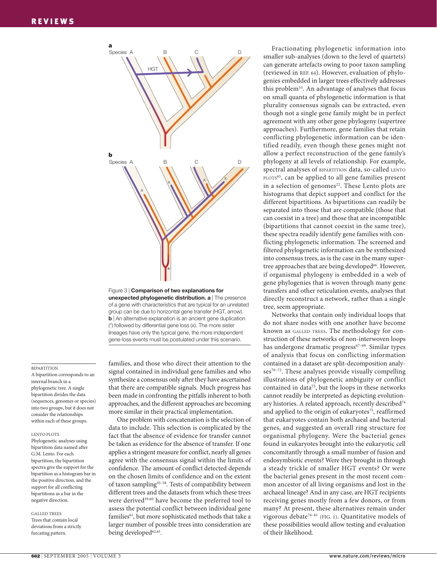



#### **BIPARTITION**

A bipartition corresponds to an internal branch in a phylogenetic tree. A single bipartition divides the data (sequences, genomes or species) into two groups, but it does not consider the relationships within each of these groups.

#### LENTO PLOTS

Phylogenetic analyses using bipartition data named after G.M. Lento. For each bipartition, the bipartition spectra give the support for the bipartition as a histogram bar in the positive direction, and the support for all conflicting bipartitions as a bar in the negative direction.

#### GALLED TREES

Trees that contain local deviations from a strictly furcating pattern.

families, and those who direct their attention to the signal contained in individual gene families and who synthesize a consensus only after they have ascertained that there are compatible signals. Much progress has been made in confronting the pitfalls inherent to both approaches, and the different approaches are becoming more similar in their practical implementation.

One problem with concatenation is the selection of data to include. This selection is complicated by the fact that the absence of evidence for transfer cannot be taken as evidence for the absence of transfer. If one applies a stringent measure for conflict, nearly all genes agree with the consensus signal within the limits of confidence. The amount of conflict detected depends on the chosen limits of confidence and on the extent of taxon sampling<sup>55-58</sup>. Tests of compatibility between different trees and the datasets from which these trees were derived<sup>59,60</sup> have become the preferred tool to assess the potential conflict between individual gene families<sup>61</sup>, but more sophisticated methods that take a larger number of possible trees into consideration are being developed<sup>62,63</sup>.

Fractionating phylogenetic information into smaller sub-analyses (down to the level of quartets) can generate artefacts owing to poor taxon sampling (reviewed in REF. 64). However, evaluation of phylogenies embedded in larger trees effectively addresses this problem53. An advantage of analyses that focus on small quanta of phylogenetic information is that plurality consensus signals can be extracted, even though not a single gene family might be in perfect agreement with any other gene phylogeny (supertree approaches). Furthermore, gene families that retain conflicting phylogenetic information can be identified readily, even though these genes might not allow a perfect reconstruction of the gene family's phylogeny at all levels of relationship. For example, spectral analyses of BIPARTITION data, so-called LENTO PLOTS65, can be applied to all gene families present in a selection of genomes<sup>22</sup>. These Lento plots are histograms that depict support and conflict for the different bipartitions. As bipartitions can readily be separated into those that are compatible (those that can coexist in a tree) and those that are incompatible (bipartitions that cannot coexist in the same tree), these spectra readily identify gene families with conflicting phylogenetic information. The screened and filtered phylogenetic information can be synthesized into consensus trees, as is the case in the many supertree approaches that are being developed<sup>66</sup>. However, if organismal phylogeny is embedded in a web of gene phylogenies that is woven through many gene transfers and other reticulation events, analyses that directly reconstruct a network, rather than a single tree, seem appropriate.

Networks that contain only individual loops that do not share nodes with one another have become known as GALLED TREES. The methodology for construction of these networks of non-interwoven loops has undergone dramatic progress<sup>67-69</sup>. Similar types of analysis that focus on conflicting information contained in a dataset are split-decomposition analyses<sup>70-72</sup>. These analyses provide visually compelling illustrations of phylogenetic ambiguity or conflict contained in data<sup>73</sup>, but the loops in these networks cannot readily be interpreted as depicting evolutionary histories. A related approach, recently described<sup>74</sup> and applied to the origin of eukaryotes<sup>75</sup>, reaffirmed that eukaryotes contain both archaeal and bacterial genes, and suggested an overall ring structure for organismal phylogeny. Were the bacterial genes found in eukaryotes brought into the eukaryotic cell concomitantly through a small number of fusion and endosymbiotic events? Were they brought in through a steady trickle of smaller HGT events? Or were the bacterial genes present in the most recent common ancestor of all living organisms and lost in the archaeal lineage? And in any case, are HGT recipients receiving genes mostly from a few donors, or from many? At present, these alternatives remain under vigorous debate76–81 (FIG. 1). Quantitative models of these possibilities would allow testing and evaluation of their likelihood.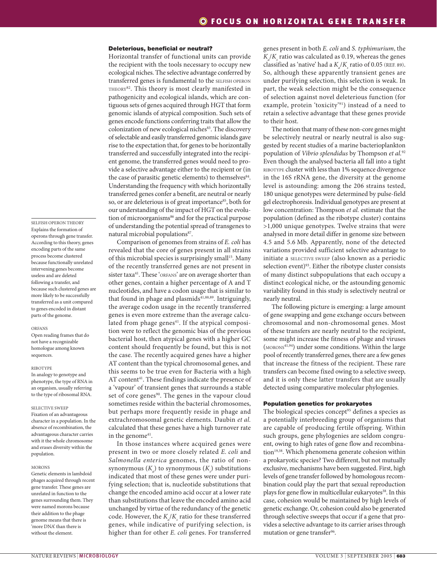#### **Deleterious, beneficial or neutral?**

Horizontal transfer of functional units can provide the recipient with the tools necessary to occupy new ecological niches. The selective advantage conferred by transferred genes is fundamental to the SELFISH OPERON THEORY82. This theory is most clearly manifested in pathogenicity and ecological islands, which are contiguous sets of genes acquired through HGT that form genomic islands of atypical composition. Such sets of genes encode functions conferring traits that allow the colonization of new ecological niches83. The discovery of selectable and easily transferred genomic islands gave rise to the expectation that, for genes to be horizontally transferred and successfully integrated into the recipient genome, the transferred genes would need to provide a selective advantage either to the recipient or (in the case of parasitic genetic elements) to themselves<sup>84</sup>. Understanding the frequency with which horizontally transferred genes confer a benefit, are neutral or nearly so, or are deleterious is of great importance<sup>85</sup>, both for our understanding of the impact of HGT on the evolution of microorganisms<sup>86</sup> and for the practical purpose of understanding the potential spread of transgenes to natural microbial populations<sup>87</sup>.

SELFISH OPERON THEORY Explains the formation of operons through gene transfer. According to this theory, genes encoding parts of the same process become clustered because functionally unrelated intervening genes become useless and are deleted following a transfer, and because such clustered genes are more likely to be successfully transferred as a unit compared to genes encoded in distant parts of the genome.

#### ORFANS

Open reading frames that do not have a recognizable homologue among known sequences.

#### RIBOTYPE

In analogy to genotype and phenotype, the type of RNA in an organism, usually referring to the type of ribosomal RNA.

#### SELECTIVE SWEEP

Fixation of an advantageous character in a population. In the absence of recombination, the advantageous character carries with it the whole chromosome and erases diversity within the population.

#### MORONS

Genetic elements in lambdoid phages acquired through recent gene transfer. These genes are unrelated in function to the genes surrounding them. They were named morons because their addition to the phage genome means that there is 'more DNA' than there is without the element.

Comparison of genomes from strains of *E. coli* has revealed that the core of genes present in all strains of this microbial species is surprisingly small<sup>15</sup>. Many of the recently transferred genes are not present in sister taxa<sup>41</sup>. These 'ORFANS' are on average shorter than other genes, contain a higher percentage of A and T nucleotides, and have a codon usage that is similar to that found in phage and plasmids<sup>41,88,89</sup>. Intriguingly, the average codon usage in the recently transferred genes is even more extreme than the average calculated from phage genes $41$ . If the atypical composition were to reflect the genomic bias of the previous bacterial host, then atypical genes with a higher GC content should frequently be found, but this is not the case. The recently acquired genes have a higher AT content than the typical chromosomal genes, and this seems to be true even for Bacteria with a high AT content<sup>41</sup>. These findings indicate the presence of a 'vapour' of transient genes that surrounds a stable set of core genes<sup>90</sup>. The genes in the vapour cloud sometimes reside within the bacterial chromosomes, but perhaps more frequently reside in phage and extrachromosomal genetic elements. Daubin *et al.* calculated that these genes have a high turnover rate in the genome<sup>41</sup>.

In those instances where acquired genes were present in two or more closely related *E. coli* and *Salmonella enterica* genomes, the ratio of nonsynonymous  $(K_a)$  to synonymous  $(K_s)$  substitutions indicated that most of these genes were under purifying selection; that is, nucleotide substitutions that change the encoded amino acid occur at a lower rate than substitutions that leave the encoded amino acid unchanged by virtue of the redundancy of the genetic code. However, the  $K_a/K_s$  ratio for these transferred genes, while indicative of purifying selection, is higher than for other *E. coli* genes. For transferred

genes present in both *E. coli* and *S. typhimurium*, the  $K_a/K_s$  ratio was calculated as 0.19, whereas the genes classified as 'native' had a  $K_a/K_s$  ratio of 0.05 (REF. 89). So, although these apparently transient genes are under purifying selection, this selection is weak. In part, the weak selection might be the consequence of selection against novel deleterious function (for example, protein 'toxicity'91) instead of a need to retain a selective advantage that these genes provide to their host.

The notion that many of these non-core genes might be selectively neutral or nearly neutral is also suggested by recent studies of a marine bacterioplankton population of *Vibrio splendidus* by Thompson *et al.*<sup>92</sup> Even though the analysed bacteria all fall into a tight RIBOTYPE cluster with less than 1% sequence divergence in the 16S rRNA gene, the diversity at the genome level is astounding: among the 206 strains tested, 180 unique genotypes were determined by pulse-field gel electrophoresis. Individual genotypes are present at low concentration: Thompson *et al.* estimate that the population (defined as the ribotype cluster) contains >1,000 unique genotypes. Twelve strains that were analysed in more detail differ in genome size between 4.5 and 5.6 Mb. Apparently, none of the detected variations provided sufficient selective advantage to initiate a SELECTIVE SWEEP (also known as a periodic selection event)<sup>93</sup>. Either the ribotype cluster consists of many distinct subpopulations that each occupy a distinct ecological niche, or the astounding genomic variability found in this study is selectively neutral or nearly neutral.

The following picture is emerging: a large amount of gene swapping and gene exchange occurs between chromosomal and non-chromosomal genes. Most of these transfers are nearly neutral to the recipient, some might increase the fitness of phage and viruses (MORONS41,94) under some conditions. Within the large pool of recently transferred genes, there are a few genes that increase the fitness of the recipient. These rare transfers can become fixed owing to a selective sweep, and it is only these latter transfers that are usually detected using comparative molecular phylogenies.

#### **Population genetics for prokaryotes**

The biological species concept<sup>95</sup> defines a species as a potentially interbreeding group of organisms that are capable of producing fertile offspring. Within such groups, gene phylogenies are seldom congruent, owing to high rates of gene flow and recombination<sup>19,38</sup>. Which phenomena generate cohesion within a prokaryotic species? Two different, but not mutually exclusive, mechanisms have been suggested. First, high levels of gene transfer followed by homologous recombination could play the part that sexual reproduction plays for gene flow in multicellular eukaryotes<sup>38</sup>. In this case, cohesion would be maintained by high levels of genetic exchange. Or, cohesion could also be generated through selective sweeps that occur if a gene that provides a selective advantage to its carrier arises through mutation or gene transfer<sup>96</sup>.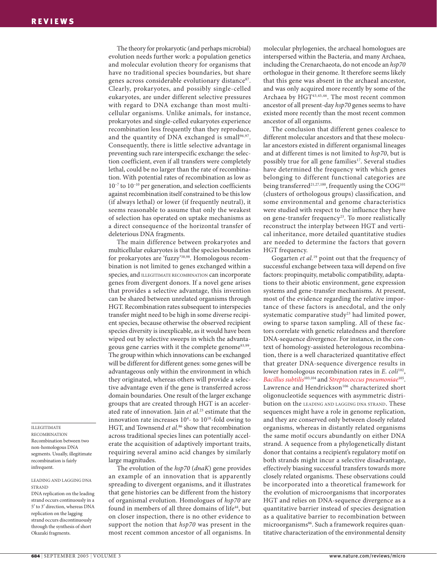The theory for prokaryotic (and perhaps microbial) evolution needs further work: a population genetics and molecular evolution theory for organisms that have no traditional species boundaries, but share genes across considerable evolutionary distance<sup>87</sup>. Clearly, prokaryotes, and possibly single-celled eukaryotes, are under different selective pressures with regard to DNA exchange than most multicellular organisms. Unlike animals, for instance, prokaryotes and single-celled eukaryotes experience recombination less frequently than they reproduce, and the quantity of DNA exchanged is small $96,97$ . Consequently, there is little selective advantage in preventing such rare interspecific exchange: the selection coefficient, even if all transfers were completely lethal, could be no larger than the rate of recombination. With potential rates of recombination as low as 10–7 to 10–10 per generation, and selection coefficients against recombination itself constrained to be this low (if always lethal) or lower (if frequently neutral), it seems reasonable to assume that only the weakest of selection has operated on uptake mechanisms as a direct consequence of the horizontal transfer of deleterious DNA fragments.

The main difference between prokaryotes and multicellular eukaryotes is that the species boundaries for prokaryotes are 'fuzzy'38,98. Homologous recombination is not limited to genes exchanged within a species, and ILLEGITIMATE RECOMBINATION can incorporate genes from divergent donors. If a novel gene arises that provides a selective advantage, this invention can be shared between unrelated organisms through HGT. Recombination rates subsequent to interspecies transfer might need to be high in some diverse recipient species, because otherwise the observed recipient species diversity is inexplicable, as it would have been wiped out by selective sweeps in which the advantageous gene carries with it the complete genome<sup>93,99</sup>. The group within which innovations can be exchanged will be different for different genes: some genes will be advantageous only within the environment in which they originated, whereas others will provide a selective advantage even if the gene is transferred across domain boundaries. One result of the larger exchange groups that are created through HGT is an accelerated rate of innovation. Jain *et al.*23 estimate that the innovation rate increases  $10<sup>4</sup>$ - to  $10<sup>10</sup>$ -fold owing to HGT, and Townsend *et al.*<sup>86</sup> show that recombination across traditional species lines can potentially accelerate the acquisition of adaptively important traits, requiring several amino acid changes by similarly large magnitudes.

The evolution of the *hsp70* (*dnaK*) gene provides an example of an innovation that is apparently spreading to divergent organisms, and it illustrates that gene histories can be different from the history of organismal evolution. Homologues of *hsp70* are found in members of all three domains of life<sup>44</sup>, but on closer inspection, there is no other evidence to support the notion that *hsp70* was present in the most recent common ancestor of all organisms. In molecular phylogenies, the archaeal homologues are interspersed within the Bacteria, and many Archaea, including the Crenarchaeota, do not encode an *hsp70* orthologue in their genome. It therefore seems likely that this gene was absent in the archaeal ancestor, and was only acquired more recently by some of the Archaea by HGT43,45,46. The most recent common ancestor of all present-day *hsp70* genes seems to have existed more recently than the most recent common ancestor of all organisms.

The conclusion that different genes coalesce to different molecular ancestors and that these molecular ancestors existed in different organismal lineages and at different times is not limited to *hsp70*, but is possibly true for all gene families<sup>17</sup>. Several studies have determined the frequency with which genes belonging to different functional categories are being transferred<sup>21,27,100</sup>, frequently using the COG<sup>101</sup> (clusters of orthologous groups) classification, and some environmental and genome characteristics were studied with respect to the influence they have on gene-transfer frequency<sup>23</sup>. To more realistically reconstruct the interplay between HGT and vertical inheritance, more detailed quantitative studies are needed to determine the factors that govern HGT frequency.

Gogarten *et al.*19 point out that the frequency of successful exchange between taxa will depend on five factors: propinquity, metabolic compatibility, adaptations to their abiotic environment, gene expression systems and gene-transfer mechanisms. At present, most of the evidence regarding the relative importance of these factors is anecdotal, and the only systematic comparative study<sup>23</sup> had limited power, owing to sparse taxon sampling. All of these factors correlate with genetic relatedness and therefore DNA-sequence divergence. For instance, in the context of homology-assisted heterologous recombination, there is a well characterized quantitative effect that greater DNA-sequence divergence results in lower homologous recombination rates in *E. coli*<sup>102</sup>, *Bacillus subtilis*103,104 and *Streptococcus pneumoniae*105. Lawrence and Hendrickson<sup>106</sup> characterized short oligonucleotide sequences with asymmetric distribution on the LEADING AND LAGGING DNA STRAND. These sequences might have a role in genome replication, and they are conserved only between closely related organisms, whereas in distantly related organisms the same motif occurs abundantly on either DNA strand. A sequence from a phylogenetically distant donor that contains a recipient's regulatory motif on both strands might incur a selective disadvantage, effectively biasing successful transfers towards more closely related organisms. These observations could be incorporated into a theoretical framework for the evolution of microorganisms that incorporates HGT and relies on DNA-sequence divergence as a quantitative barrier instead of species designation as a qualitative barrier to recombination between microorganisms<sup>86</sup>. Such a framework requires quantitative characterization of the environmental density

ILLEGITIMATE RECOMBINATION Recombination between two non-homologous DNA segments. Usually, illegitimate recombination is fairly infrequent.

LEADING AND LAGGING DNA STRAND DNA replication on the leading strand occurs continuously in a 5′ to 3′ direction, whereas DNA replication on the lagging strand occurs discontinuously through the synthesis of short Okazaki fragments.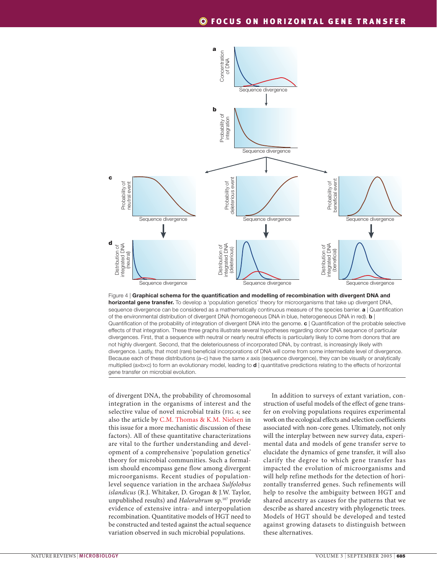

Figure 4 | **Graphical schema for the quantification and modelling of recombination with divergent DNA and horizontal gene transfer.** To develop a 'population genetics' theory for microorganisms that take up divergent DNA, sequence divergence can be considered as a mathematically continuous measure of the species barrier. **a** | Quantification of the environmental distribution of divergent DNA (homogeneous DNA in blue, heterogeneous DNA in red). **b** | Quantification of the probability of integration of divergent DNA into the genome. **c** | Quantification of the probable selective effects of that integration. These three graphs illustrate several hypotheses regarding donor DNA sequence of particular divergences. First, that a sequence with neutral or nearly neutral effects is particularly likely to come from donors that are not highly divergent. Second, that the deleteriousness of incorporated DNA, by contrast, is increasingly likely with divergence. Lastly, that most (rare) beneficial incorporations of DNA will come from some intermediate level of divergence. Because each of these distributions (a–c) have the same *x* axis (sequence divergence), they can be visually or analytically multiplied (a×b×c) to form an evolutionary model, leading to **d** | quantitative predictions relating to the effects of horizontal gene transfer on microbial evolution.

of divergent DNA, the probability of chromosomal integration in the organisms of interest and the selective value of novel microbial traits (FIG. 4; see also the article by C.M. Thomas & K.M. Nielsen in this issue for a more mechanistic discussion of these factors). All of these quantitative characterizations are vital to the further understanding and development of a comprehensive 'population genetics' theory for microbial communities. Such a formalism should encompass gene flow among divergent micro organisms. Recent studies of populationlevel sequence variation in the archaea *Sulfolobus islandicus* (R.J. Whitaker, D. Grogan & J.W. Taylor, unpublished results) and *Halorubrum* sp.<sup>107</sup> provide evidence of extensive intra- and interpopulation recombination. Quantitative models of HGT need to be constructed and tested against the actual sequence variation observed in such microbial populations.

In addition to surveys of extant variation, construction of useful models of the effect of gene transfer on evolving populations requires experimental work on the ecological effects and selection coefficients associated with non-core genes. Ultimately, not only will the interplay between new survey data, experimental data and models of gene transfer serve to elucidate the dynamics of gene transfer, it will also clarify the degree to which gene transfer has impacted the evolution of microorganisms and will help refine methods for the detection of horizontally transferred genes. Such refinements will help to resolve the ambiguity between HGT and shared ancestry as causes for the patterns that we describe as shared ancestry with phylogenetic trees. Models of HGT should be developed and tested against growing datasets to distinguish between these alternatives.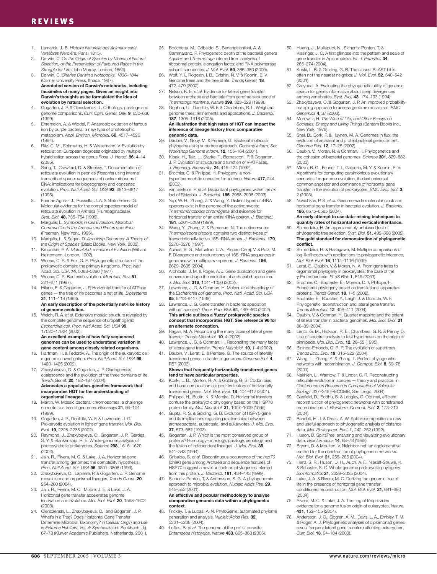- 1. Lamarck, J.-B. *Histoire Naturelle des Animaux sans Vertèbres* (Verdière, Paris, 1815).
- 2. Darwin, C. *On the Origin of Species by Means of Natural Selection, or the Preservation of Favoured Races in the*
- *Struggle for Life* (John Murray, London, 1859). 3. Darwin, C. *Charles Darwin's Notebooks, 1836–1844* (Cornell University Press, Ithaca, 1987). **Annotated version of Darwin's notebooks, including facsimiles of many pages. Gives an insight into Darwin's thoughts as he formulated the idea of evolution by natural selection.**
- 4. Gogarten, J. P. & Olendzenski, L. Orthologs, paralogs and genome comparisons. *Curr. Opin. Genet. Dev.* **9**, 630–636 (1999).
- 5. Ehrenreich, A. & Widdel, F. Anaerobic oxidation of ferrous iron by purple bacteria, a new type of phototrophic metabolism. *Appl. Environ. Microbiol.* **60**, 4517–4526 (1994).
- 6. Ritz, C. M., Schmuths, H. & Wissemann, V. Evolution by reticulation: European dogroses originated by multiple hybridization across the genus *Rosa*. *J. Hered.* **96**, 4–14  $(2005)$
- 7. Sang, T., Crawford, D. & Stuessy, T. Documentation of reticulate evolution in peonies (*Paeonia*) using internal transcribed spacer sequences of nuclear ribosomal DNA: implications for biogeography and concerted evolution. *Proc. Natl Acad. Sci. USA* **92**, 6813–6817  $(1995)$
- 8. Fuertes Aguilar, J., Rossello, J. A. & Nieto Feliner, G. Molecular evidence for the compilospecies model of reticulate evolution in *Armeria* (Plumbaginaceae). *Syst. Biol.* **48**, 735–754 (1999).
- 9. Margulis, L. *Symbiosis in Cell Evolution: Microbial Communities in the Archean and Proterozoic Eons* (Freeman, New York, 1995).
- 10. Margulis, L. & Sagan, D. *Acquiring Genomes: A Theory of the Origin of Species* (Basic Books, New York, 2002).
- 11. Kropotkin, P. A. *Mutual Aid; a Factor of Evolution* (William Heinemann, London, 1902).
- 12. Woese, C. R. & Fox, G. E. Phylogenetic structure of the prokaryotic domain: the primary kingdoms. *Proc. Natl Acad. Sci. USA* **74**, 5088–5090 (1977).
- 13. Woese, C. R. Bacterial evolution. *Microbiol. Rev.* **51**, 221–271 (1987). 14. Hilario, E. & Gogarten, J. P. Horizontal transfer of ATPase
- genes the tree of life becomes a net of life. *Biosystems* **31**, 111–119 (1993). **An early description of the potentially net-like history**

## **of genome evolution.**

15. Welch, R. A. *et al.* Extensive mosaic structure revealed by the complete genome sequence of uropathogenic *Escherichia coli*. *Proc. Natl Acad. Sci. USA* **99**, 17020–17024 (2002). **An excellent example of how fully sequenced** 

#### **genomes can be used to understand variation in gene content among closely related organisms.**

- 16. Hartman, H. & Fedorov, A. The origin of the eukaryotic cell: a genomic investigation. *Proc. Natl Acad. Sci. USA* **99**, 1420–1425 (2002).
- 17. Zhaxybayeva, O. & Gogarten, J. P. Cladogenesis, coalescence and the evolution of the three domains of life. *Trends Genet.* **20**, 182–187 (2004). **Advocates a population-genetics framework that incorporates HGT for the understanding of organismal lineages.**
- 18. Martin, W. Mosaic bacterial chromosomes: a challenge en route to a tree of genomes. *Bioessays* **21**, 99–104 (1999).
- 19. Gogarten, J. P., Doolittle, W. F. & Lawrence, J. G. Prokaryotic evolution in light of gene transfer. *Mol. Biol. Evol.* **19**, 2226–2238 (2002).
- 20. Raymond, J., Zhaxybayeva, O., Gogarten, J. P., Gerdes, S. Y. & Blankenship, R. E. Whole-genome analysis of photosynthetic prokaryotes. *Science* **298**, 1616–1620  $(2002)$
- 21. Jain, R., Rivera, M. C. & Lake, J. A. Horizontal gene transfer among genomes: the complexity hypothesis. *Proc. Natl Acad. Sci. USA* **96**, 3801–3806 (1999).
- 22. Zhaxybayeva, O., Lapierre, P. & Gogarten, J. P. Genome mosaicism and organismal lineages. *Trends Genet.* **20**, 254–260 (2004).
- 23. Jain, R., Rivera, M. C., Moore, J. E. & Lake, J. A. Horizontal gene transfer accelerates genome innovation and evolution. *Mol. Biol. Evol.* **20**, 1598–1602 (2003).
- 24. Olendzenski, L., Zhaxybayeva, O., and Gogarten, J. P. What's in a Tree? Does Horizontal Gene Transfer Determine Microbial Taxonomy? in *Cellular Origin and Life in Extreme Habitats. Vol. 4: Symbiosis* (ed. Seckbach, J.) 67–78 (Kluwer Academic Publishers, Netherlands, 2001).
- 25. Bocchetta, M., Gribaldo, S., Sanangelantoni, A. & Cammarano, P. Phylogenetic depth of the bacterial genera *Aquifex* and *Thermotoga* inferred from analysis of ribosomal protein, elongation factor, and RNA polymerase
- subunit sequences. *J. Mol. Evol.* **50**, 366–380 (2000). 26. Wolf, Y. I., Rogozin, I. B., Grishin, N. V. & Koonin, E. V. Genome trees and the tree of life. *Trends Genet.* **18**, 472–479 (2002).
- 27. Nelson, K. E. *et al.* Evidence for lateral gene transfer between archaea and bacteria from genome sequence of *Thermotoga maritima*. *Nature* **399**, 323–329 (1999).
- 28. Gophna, U., Doolittle, W. F. & Charlebois, R. L. Weighted genome trees: refinements and applications. *J. Bacteriol.*  **187**, 1305–1316 (2005). **An illustration that high rates of HGT can impact the**
- **inference of lineage history from comparative genomic data.** 29. Daubin, V., Gouy, M. & Perriere, G. Bacterial molecular
- phylogeny using supertree approach. *Genome Inform. Ser. Workshop Genome Inform.* **12**, 155–164 (2001).
- 30. Kibak, H., Taiz, L., Starke, T., Bernasconi, P. & Gogarten, J. P. Evolution of structure and function of V-ATPases. *J. Bioenerg. Biomembr.* **24**, 415–424 (1992).
- 31. Brochier, C. & Philippe, H. Phylogeny: a nonhyperthermophilic ancestor for bacteria. *Nature* **417**, 244  $(2002)$ .
- 32. van Berkum, P. *et al.* Discordant phylogenies within the *rrn* loci of Rhizobia. *J. Bacteriol.* **185**, 2988–2998 (2003).
- Yap, W. H., Zhang, Z. & Wang, Y. Distinct types of rRNA operons exist in the genome of the actinomycete *Thermomonospora chromogena* and evidence for horizontal transfer of an entire rRNA operon. *J. Bacteriol.* **181**, 5201–5209 (1999).
- Wang, Y., Zhang, Z. & Ramanan, N. The actinomycete *Thermobispora bispora* contains two distinct types of transcriptionally active 16S rRNA genes. *J. Bacteriol.* **179**, 3270–3276 (1997).
- 35. Acinas, S. G., Marcelino, L. A., Klepac-Ceraj, V. & Polz, M. F. Divergence and redundancy of 16S rRNA sequences in genomes with multiple *rrn* operons. *J. Bacteriol.* **186**, 2629–2635 (2004).
- Archibald, J. M. & Roger, A. J. Gene duplication and gene conversion shape the evolution of archaeal chaperonins. *J. Mol. Biol.* **316**, 1041–1050 (2002).
- 37. Lawrence, J. G. & Ochman, H. Molecular archaeology of the *Escherichia coli* genome. *Proc. Natl. Acad. Sci. USA*  **95**, 9413–9417 (1998).
- 38. Lawrence, J. G. Gene transfer in bacteria: speciation without species? *Theor. Pop. Biol.* **61**, 449–460 (2002). **This article outlines a 'fuzzy' prokaryotic species concept that incorporates HGT. See reference 96 for an alternate conception.**
- 39. Ragan, M. A. Reconciling the many faces of lateral gene transfer. *Trends Microbiol.* **10**, 4 (2002).
- Lawrence, J. G. & Ochman, H. Reconciling the many faces of lateral gene transfer. *Trends Microbiol.* **10**, 1–4 (2002). 41. Daubin, V., Lerat, E. & Perriere, G. The source of laterally
- transferred genes in bacterial genomes. *Genome Biol.* **4**, R57 (2003). **Shows that frequently horizontally transferred genes**
- **tend to have particular properties.** 42. Koski, L. B., Morton, R. A. & Golding, G. B. Codon bias
- and base composition are poor indicators of horizontally transferred genes. *Mol. Biol. Evol.* **18**, 404–412 (2001).
- 43. Philippe, H., Budin, K. & Moreira, D. Horizontal transfers confuse the prokaryotic phylogeny based on the HSP70 protein family. *Mol. Microbiol.* **31**, 1007–1009 (1999).
- 44. Gupta, R. S. & Golding, G. B. Evolution of HSP70 gene and its implications regarding relationships between archaebacteria, eubacteria, and eukaryotes. *J. Mol. Evol.* **37**, 573–582 (1993).
- 45. Gogarten, J. P. Which is the most conserved group of proteins? Homology–orthology, paralogy, xenology, and the fusion of independent lineages. *J. Mol. Evol.* **39**, 541–543 (1994).
- 46. Gribaldo, S. *et al.* Discontinuous occurrence of the *hsp70*  (*dnaK*) gene among Archaea and sequence features of HSP70 suggest a novel outlook on phylogenies inferred from this protein. *J. Bacteriol.* **181**, 434–443 (1999).
- 47. Sicheritz-Ponten, T. & Andersson, S. G. A phylogenomic approach to microbial evolution. *Nucleic Acids Res.* **29**, 545–552 (2001). **An effective and popular methodology to analyse comparative genomic data within a phylogenetic**
- **context.** 48. Frickey, T. & Lupas, A. N. PhyloGenie: automated phylome generation and analysis. *Nucleic Acids Res.* **32**, 5231–5238 (2004).
- 49. Loftus, B. *et al.* The genome of the protist parasite *Entamoeba histolytica*. *Nature* **433**, 865–868 (2005).
- 50. Huang, J., Mullapudi, N., Sicheritz-Ponten, T. & Kissinger, J. C. A first glimpse into the pattern and scale of gene transfer in Apicomplexa. *Int. J. Parasitol.* **34**, 265–274 (2004).
- 51. Koski, L. B. & Golding, G. B. The closest BLAST hit is often not the nearest neighbor. *J. Mol. Evol.* **52**, 540–542 (2001).
- 52. Graybeal, A. Evaluating the phylogenetic utility of genes: a search for genes informative about deep divergences among vertebrates. *Syst. Biol.* **43**, 174–193 (1994).
- 53. Zhaxybayeva, O. & Gogarten, J. P. An improved probability mapping approach to assess genome mosaicism. *BMC Genomics* **4**, 37 (2003).
- 54. Morowitz, H. *The Wine of Life, and Other Essays on Societies, Energy and Living Things* (Bantam Books Inc., New York, 1979)
- 55. Snel, B., Bork, P. & Huynen, M. A. Genomes in flux: the evolution of archaeal and proteobacterial gene content. *Genome Res.* **12**, 17–25 (2002).
- 56. Daubin, V., Moran, N. & Ochman, H. Phylogenetics and the cohesion of bacterial genomes. *Science* **301**, 829–832 (2003).
- 57. Mirkin, B. G., Fenner, T. I., Galperin, M. Y. & Koonin, E. V. Algorithms for computing parsimonious evolutionary scenarios for genome evolution, the last universal common ancestor and dominance of horizontal gene transfer in the evolution of prokaryotes. *BMC Evol. Biol.* **3**, 2 (2003).
- 58. Novichkov, P. S. *et al.* Genome-wide molecular clock and horizontal gene transfer in bacterial evolution. *J. Bacteriol.* **186**, 6575–6585 (2004).

#### **An early attempt to use data-mining techniques to quantify rates of horizontal and vertical inheritance.**

- 59. Shimodaira, H. An approximately unbiased test of phylogenetic tree selection. *Syst. Biol.* **51**, 492–508 (2002). **The gold standard for demonstration of phylogenetic conflict.**
- 60. Shimodaira, H. & Hasegawa, M. Multiple comparisons of log-likelihoods with applications to phylogenetic inference. *Mol. Biol. Evol.* **16**, 1114–1116 (1999).
- 61. Lerat, E., Daubin, V. & Moran, N. A. From gene trees to organismal phylogeny in prokaryotes: the case of the γ-Proteobacteria. *PLoS Biol.* **1**, E19 (2003).
- 62. Brochier, C., Bapteste, E., Moreira, D. & Philippe, H. Eubacterial phylogeny based on translational apparatus proteins. *Trends Genet.* **18**, 1–5 (2002).
- 63. Bapteste, E., Boucher, Y., Leigh, J. & Doolittle, W. F. Phylogenetic reconstruction and lateral gene transfer. *Trends Microbiol.* **12**, 406–411 (2004).
- 64. Daubin, V. & Ochman, H. Quartet mapping and the extent of lateral transfer in bacterial genomes. *Mol. Biol. Evol.* **21**, 86–89 (2004).
- 65. Lento, G. M., Hickson, R. E., Chambers, G. K. & Penny, D. Use of spectral analysis to test hypotheses on the origin of pinnipeds. *Mol. Biol. Evol.* **12**, 28–52 (1995).
- Bininda-Emonds, O. R. P. The evolution of supertrees. *Trends Ecol. Evol.* **19**, 315–322 (2004).
- 67. Wang, L., Zhang, K. & Zhang, L. Perfect phylogenetic networks with recombination. *J. Comput. Biol.* **8**, 69–78 (2001).
- 68. Nakhleh, L., Warnow, T. & Linder, C. R. Reconstructing reticulate evolution in species — theory and practice. in *Conference on Research in Computational Molecular Biology* 337–346 (RECOMB, San Diego, 2004).
- 69. Gusfield, D., Eddhu, S. & Langley, C. Optimal, efficient reconstruction of phylogenetic networks with constrained recombination. *J. Bioinform. Comput. Biol.* **2**, 173–213 (2004).
- 70. Bandelt, H. J. & Dress, A. W. Split decomposition: a new and useful approach to phylogenetic analysis of distance data. *Mol. Phylogenet. Evol.* **1**, 242–252 (1992).
- 71. Huson, D. SplitsTree: analyzing and visualizing evolutionary data. *Bioinformatics* **14**, 68–73 (1998).
- Bryant, D. & Moulton, V. Neighbor-net: an agglomerative method for the construction of phylogenetic networks. *Mol. Biol. Evol.* **21**, 255–265 (2004).
- Henz, S. R., Huson, D. H., Auch, A. F., Nieselt-Struwe, K. & Schuster, S. C. Whole-genome prokaryotic phylogeny. *Bioinformatics* **21**, 2329–2335 (2004).
- 74. Lake, J. A. & Rivera, M. C. Deriving the genomic tree of life in the presence of horizontal gene transfer: conditioned reconstruction. *Mol. Biol. Evol.* **21**, 681–690 (2004).
- Rivera, M. C. & Lake, J. A. The ring of life provides evidence for a genome fusion origin of eukaryotes. *Nature* **431**, 152–155 (2004).
- 76. Andersson, J. O., Sjogren, A. M., Davis, L. A., Embley, T. M. & Roger, A. J. Phylogenetic analyses of diplomonad genes reveal frequent lateral gene transfers affecting eukaryotes. *Curr. Biol.* **13**, 94–104 (2003).